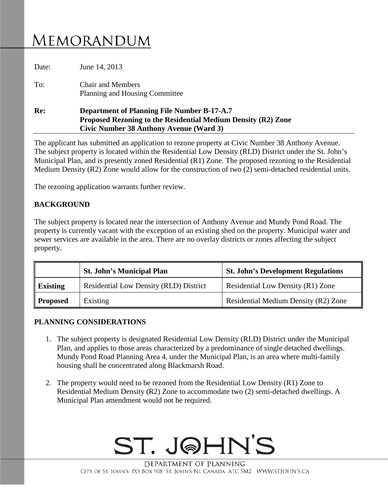## MEMORANDUM

| Re:   | <b>Department of Planning File Number B-17-A.7</b><br>Proposed Rezoning to the Residential Medium Density (R2) Zone<br>Civic Number 38 Anthony Avenue (Ward 3) |
|-------|----------------------------------------------------------------------------------------------------------------------------------------------------------------|
| To:   | <b>Chair and Members</b><br><b>Planning and Housing Committee</b>                                                                                              |
| Date: | June 14, 2013                                                                                                                                                  |

The applicant has submitted an application to rezone property at Civic Number 38 Anthony Avenue. The subject property is located within the Residential Low Density (RLD) District under the St. John's Municipal Plan, and is presently zoned Residential (R1) Zone. The proposed rezoning to the Residential Medium Density (R2) Zone would allow for the construction of two (2) semi-detached residential units.

The rezoning application warrants further review.

## **BACKGROUND**

The subject property is located near the intersection of Anthony Avenue and Mundy Pond Road. The property is currently vacant with the exception of an existing shed on the property. Municipal water and sewer services are available in the area. There are no overlay districts or zones affecting the subject property.

|                 | <b>St. John's Municipal Plan</b>              | <b>St. John's Development Regulations</b> |
|-----------------|-----------------------------------------------|-------------------------------------------|
| <b>Existing</b> | <b>Residential Low Density (RLD) District</b> | Residential Low Density (R1) Zone         |
| <b>Proposed</b> | Existing                                      | Residential Medium Density (R2) Zone      |

## **PLANNING CONSIDERATIONS**

- 1. The subject property is designated Residential Low Density (RLD) District under the Municipal Plan, and applies to those areas characterized by a predominance of single detached dwellings. Mundy Pond Road Planning Area 4, under the Municipal Plan, is an area where multi-family housing shall be concentrated along Blackmarsh Road.
- 2. The property would need to be rezoned from the Residential Low Density (R1) Zone to Residential Medium Density (R2) Zone to accommodate two (2) semi-detached dwellings. A Municipal Plan amendment would not be required.



DEPARTMENT OF PLANNING CITY OF ST. JOHN'S PO BOX 908 ST. JOHN'S NL CANADA A1C 5M2 WWW.STJOHN'S.CA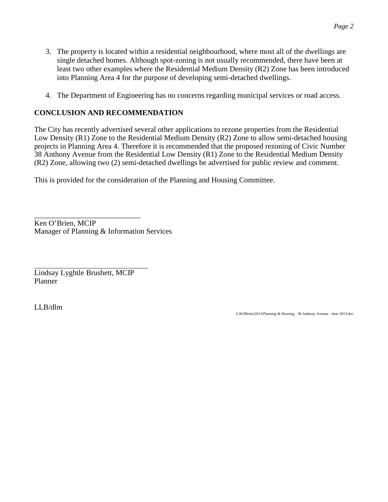- 3. The property is located within a residential neighbourhood, where most all of the dwellings are single detached homes. Although spot-zoning is not usually recommended, there have been at least two other examples where the Residential Medium Density (R2) Zone has been introduced into Planning Area 4 for the purpose of developing semi-detached dwellings.
- 4. The Department of Engineering has no concerns regarding municipal services or road access.

## **CONCLUSION AND RECOMMENDATION**

The City has recently advertised several other applications to rezone properties from the Residential Low Density (R1) Zone to the Residential Medium Density (R2) Zone to allow semi-detached housing projects in Planning Area 4. Therefore it is recommended that the proposed rezoning of Civic Number 38 Anthony Avenue from the Residential Low Density (R1) Zone to the Residential Medium Density (R2) Zone, allowing two (2) semi-detached dwellings be advertised for public review and comment.

This is provided for the consideration of the Planning and Housing Committee.

\_\_\_\_\_\_\_\_\_\_\_\_\_\_\_\_\_\_\_\_\_\_\_\_\_\_\_\_ Ken O'Brien, MCIP Manager of Planning & Information Services

Lindsay Lyghtle Brushett, MCIP Planner

LLB/dlm

I:\KOBrien\2013\Planning & Housing - 38 Anthony Avenue - June 2013.doc